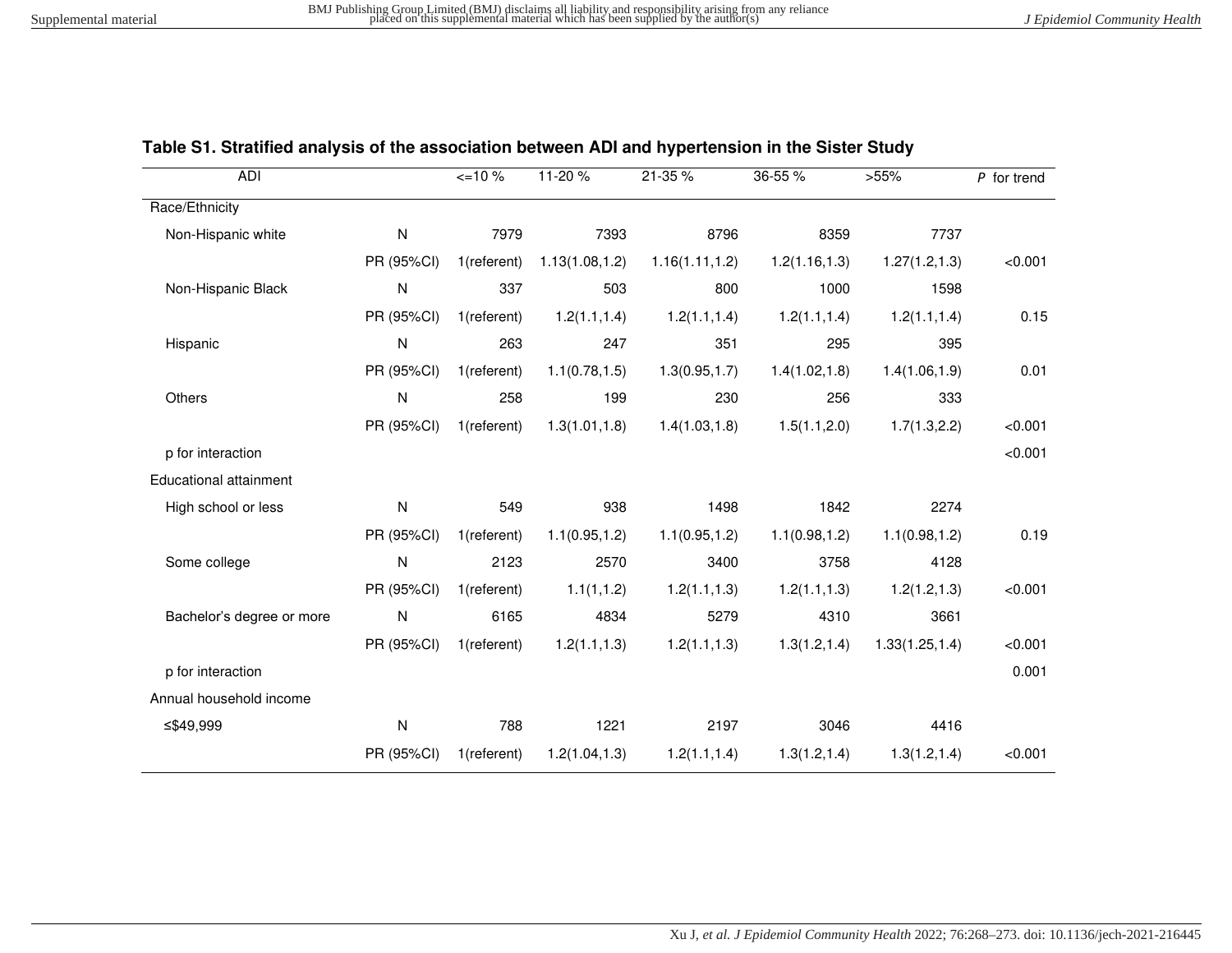| <b>ADI</b>                    |              | $\leq$ 10 % | 11-20 %         | 21-35 %         | 36-55 %        | >55%            | $P$ for trend |
|-------------------------------|--------------|-------------|-----------------|-----------------|----------------|-----------------|---------------|
| Race/Ethnicity                |              |             |                 |                 |                |                 |               |
| Non-Hispanic white            | ${\sf N}$    | 7979        | 7393            | 8796            | 8359           | 7737            |               |
|                               | PR (95%CI)   | 1(referent) | 1.13(1.08, 1.2) | 1.16(1.11, 1.2) | 1.2(1.16, 1.3) | 1.27(1.2, 1.3)  | < 0.001       |
| Non-Hispanic Black            | $\mathsf{N}$ | 337         | 503             | 800             | 1000           | 1598            |               |
|                               | PR (95%CI)   | 1(referent) | 1.2(1.1, 1.4)   | 1.2(1.1, 1.4)   | 1.2(1.1, 1.4)  | 1.2(1.1, 1.4)   | 0.15          |
| Hispanic                      | ${\sf N}$    | 263         | 247             | 351             | 295            | 395             |               |
|                               | PR (95%CI)   | 1(referent) | 1.1(0.78, 1.5)  | 1.3(0.95, 1.7)  | 1.4(1.02, 1.8) | 1.4(1.06, 1.9)  | 0.01          |
| Others                        | ${\sf N}$    | 258         | 199             | 230             | 256            | 333             |               |
|                               | PR (95%CI)   | 1(referent) | 1.3(1.01, 1.8)  | 1.4(1.03, 1.8)  | 1.5(1.1, 2.0)  | 1.7(1.3, 2.2)   | < 0.001       |
| p for interaction             |              |             |                 |                 |                |                 | < 0.001       |
| <b>Educational attainment</b> |              |             |                 |                 |                |                 |               |
| High school or less           | ${\sf N}$    | 549         | 938             | 1498            | 1842           | 2274            |               |
|                               | PR (95%CI)   | 1(referent) | 1.1(0.95, 1.2)  | 1.1(0.95, 1.2)  | 1.1(0.98, 1.2) | 1.1(0.98, 1.2)  | 0.19          |
| Some college                  | $\mathsf{N}$ | 2123        | 2570            | 3400            | 3758           | 4128            |               |
|                               | PR (95%CI)   | 1(referent) | 1.1(1, 1.2)     | 1.2(1.1, 1.3)   | 1.2(1.1, 1.3)  | 1.2(1.2, 1.3)   | < 0.001       |
| Bachelor's degree or more     | ${\sf N}$    | 6165        | 4834            | 5279            | 4310           | 3661            |               |
|                               | PR (95%CI)   | 1(referent) | 1.2(1.1, 1.3)   | 1.2(1.1, 1.3)   | 1.3(1.2, 1.4)  | 1.33(1.25, 1.4) | < 0.001       |
| p for interaction             |              |             |                 |                 |                |                 | 0.001         |
| Annual household income       |              |             |                 |                 |                |                 |               |
| ≤\$49,999                     | ${\sf N}$    | 788         | 1221            | 2197            | 3046           | 4416            |               |
|                               | PR (95%CI)   | 1(referent) | 1.2(1.04, 1.3)  | 1.2(1.1, 1.4)   | 1.3(1.2, 1.4)  | 1.3(1.2, 1.4)   | < 0.001       |

## **Table S1. Stratified analysis of the association between ADI and hypertension in the Sister Study**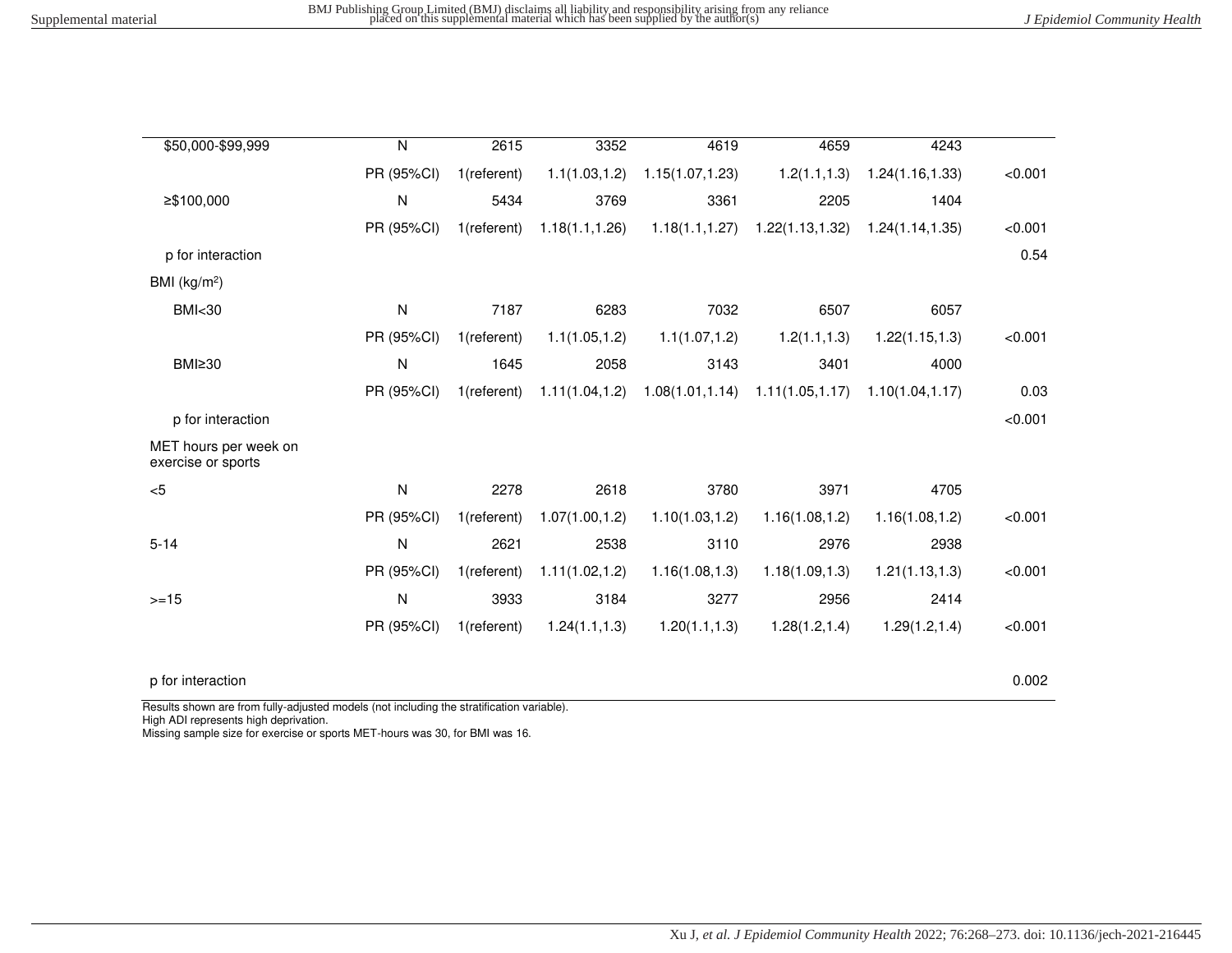| \$50,000-\$99,999                           | N            | 2615        | 3352            | 4619             | 4659                                  | 4243             |         |
|---------------------------------------------|--------------|-------------|-----------------|------------------|---------------------------------------|------------------|---------|
|                                             | PR (95%CI)   | 1(referent) | 1.1(1.03, 1.2)  | 1.15(1.07, 1.23) | 1.2(1.1, 1.3)                         | 1.24(1.16, 1.33) | < 0.001 |
| ≥\$100,000                                  | N            | 5434        | 3769            | 3361             | 2205                                  | 1404             |         |
|                                             | PR (95%CI)   | 1(referent) | 1.18(1.1, 1.26) | 1.18(1.1, 1.27)  | 1.22(1.13, 1.32)                      | 1.24(1.14, 1.35) | < 0.001 |
| p for interaction                           |              |             |                 |                  |                                       |                  | 0.54    |
| BMI $(kg/m2)$                               |              |             |                 |                  |                                       |                  |         |
| <b>BMI&lt;30</b>                            | N            | 7187        | 6283            | 7032             | 6507                                  | 6057             |         |
|                                             | PR (95%CI)   | 1(referent) | 1.1(1.05, 1.2)  | 1.1(1.07, 1.2)   | 1.2(1.1, 1.3)                         | 1.22(1.15, 1.3)  | < 0.001 |
| BMI <sub>230</sub>                          | N            | 1645        | 2058            | 3143             | 3401                                  | 4000             |         |
|                                             | PR (95%CI)   | 1(referent) | 1.11(1.04, 1.2) |                  | $1.08(1.01, 1.14)$ $1.11(1.05, 1.17)$ | 1.10(1.04, 1.17) | 0.03    |
| p for interaction                           |              |             |                 |                  |                                       |                  | < 0.001 |
| MET hours per week on<br>exercise or sports |              |             |                 |                  |                                       |                  |         |
| < 5                                         | $\mathsf{N}$ | 2278        | 2618            | 3780             | 3971                                  | 4705             |         |
|                                             | PR (95%CI)   | 1(referent) | 1.07(1.00, 1.2) | 1.10(1.03, 1.2)  | 1.16(1.08, 1.2)                       | 1.16(1.08, 1.2)  | < 0.001 |
| $5 - 14$                                    | N            | 2621        | 2538            | 3110             | 2976                                  | 2938             |         |
|                                             | PR (95%CI)   | 1(referent) | 1.11(1.02, 1.2) | 1.16(1.08, 1.3)  | 1.18(1.09, 1.3)                       | 1.21(1.13, 1.3)  | < 0.001 |
| $>=15$                                      | N            | 3933        | 3184            | 3277             | 2956                                  | 2414             |         |
|                                             | PR (95%CI)   | 1(referent) | 1.24(1.1, 1.3)  | 1.20(1.1, 1.3)   | 1.28(1.2, 1.4)                        | 1.29(1.2, 1.4)   | < 0.001 |
|                                             |              |             |                 |                  |                                       |                  |         |

## p for interaction 0.002

Results shown are from fully-adjusted models (not including the stratification variable).

High ADI represents high deprivation.

Missing sample size for exercise or sports MET-hours was 30, for BMI was 16.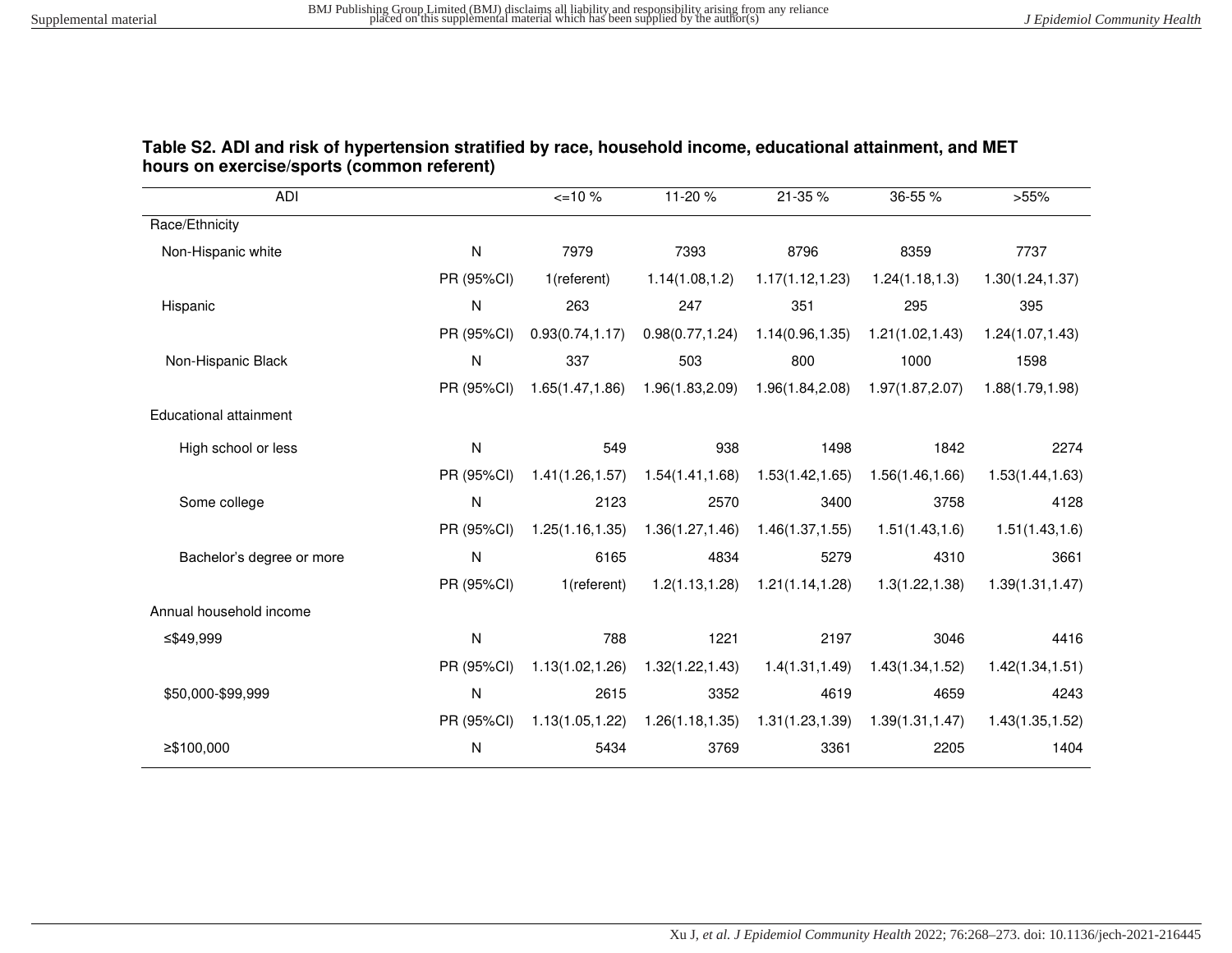| Table S2. ADI and risk of hypertension stratified by race, household income, educational attainment, and MET |  |
|--------------------------------------------------------------------------------------------------------------|--|
| hours on exercise/sports (common referent)                                                                   |  |

| ADI                       |              | $\leq$ 10%       | 11-20 %          | 21-35 %                             | 36-55 %          | >55%             |
|---------------------------|--------------|------------------|------------------|-------------------------------------|------------------|------------------|
| Race/Ethnicity            |              |                  |                  |                                     |                  |                  |
| Non-Hispanic white        | $\mathsf{N}$ | 7979             | 7393             | 8796                                | 8359             | 7737             |
|                           | PR (95%CI)   | 1(referent)      | 1.14(1.08, 1.2)  | 1.17(1.12, 1.23)                    | 1.24(1.18, 1.3)  | 1.30(1.24, 1.37) |
| Hispanic                  | ${\sf N}$    | 263              | 247              | 351                                 | 295              | 395              |
|                           | PR (95%CI)   | 0.93(0.74, 1.17) |                  | $0.98(0.77, 1.24)$ 1.14(0.96, 1.35) | 1.21(1.02, 1.43) | 1.24(1.07, 1.43) |
| Non-Hispanic Black        | $\mathsf{N}$ | 337              | 503              | 800                                 | 1000             | 1598             |
|                           | PR (95%CI)   | 1.65(1.47, 1.86) |                  | 1.96(1.83,2.09) 1.96(1.84,2.08)     | 1.97(1.87,2.07)  | 1.88(1.79, 1.98) |
| Educational attainment    |              |                  |                  |                                     |                  |                  |
| High school or less       | ${\sf N}$    | 549              | 938              | 1498                                | 1842             | 2274             |
|                           | PR (95%CI)   | 1.41(1.26, 1.57) | 1.54(1.41, 1.68) | 1.53(1.42, 1.65)                    | 1.56(1.46, 1.66) | 1.53(1.44, 1.63) |
| Some college              | ${\sf N}$    | 2123             | 2570             | 3400                                | 3758             | 4128             |
|                           | PR (95%CI)   | 1.25(1.16, 1.35) | 1.36(1.27, 1.46) | 1.46(1.37, 1.55)                    | 1.51(1.43, 1.6)  | 1.51(1.43, 1.6)  |
| Bachelor's degree or more | ${\sf N}$    | 6165             | 4834             | 5279                                | 4310             | 3661             |
|                           | PR (95%CI)   | 1(referent)      | 1.2(1.13, 1.28)  | 1.21(1.14, 1.28)                    | 1.3(1.22, 1.38)  | 1.39(1.31, 1.47) |
| Annual household income   |              |                  |                  |                                     |                  |                  |
| ≤\$49,999                 | $\mathsf{N}$ | 788              | 1221             | 2197                                | 3046             | 4416             |
|                           | PR (95%CI)   | 1.13(1.02, 1.26) | 1.32(1.22, 1.43) | 1.4(1.31, 1.49)                     | 1.43(1.34, 1.52) | 1.42(1.34, 1.51) |
| \$50,000-\$99,999         | ${\sf N}$    | 2615             | 3352             | 4619                                | 4659             | 4243             |
|                           | PR (95%CI)   | 1.13(1.05, 1.22) | 1.26(1.18, 1.35) | 1.31(1.23, 1.39)                    | 1.39(1.31, 1.47) | 1.43(1.35, 1.52) |
| $≥$ \$100,000             | N            | 5434             | 3769             | 3361                                | 2205             | 1404             |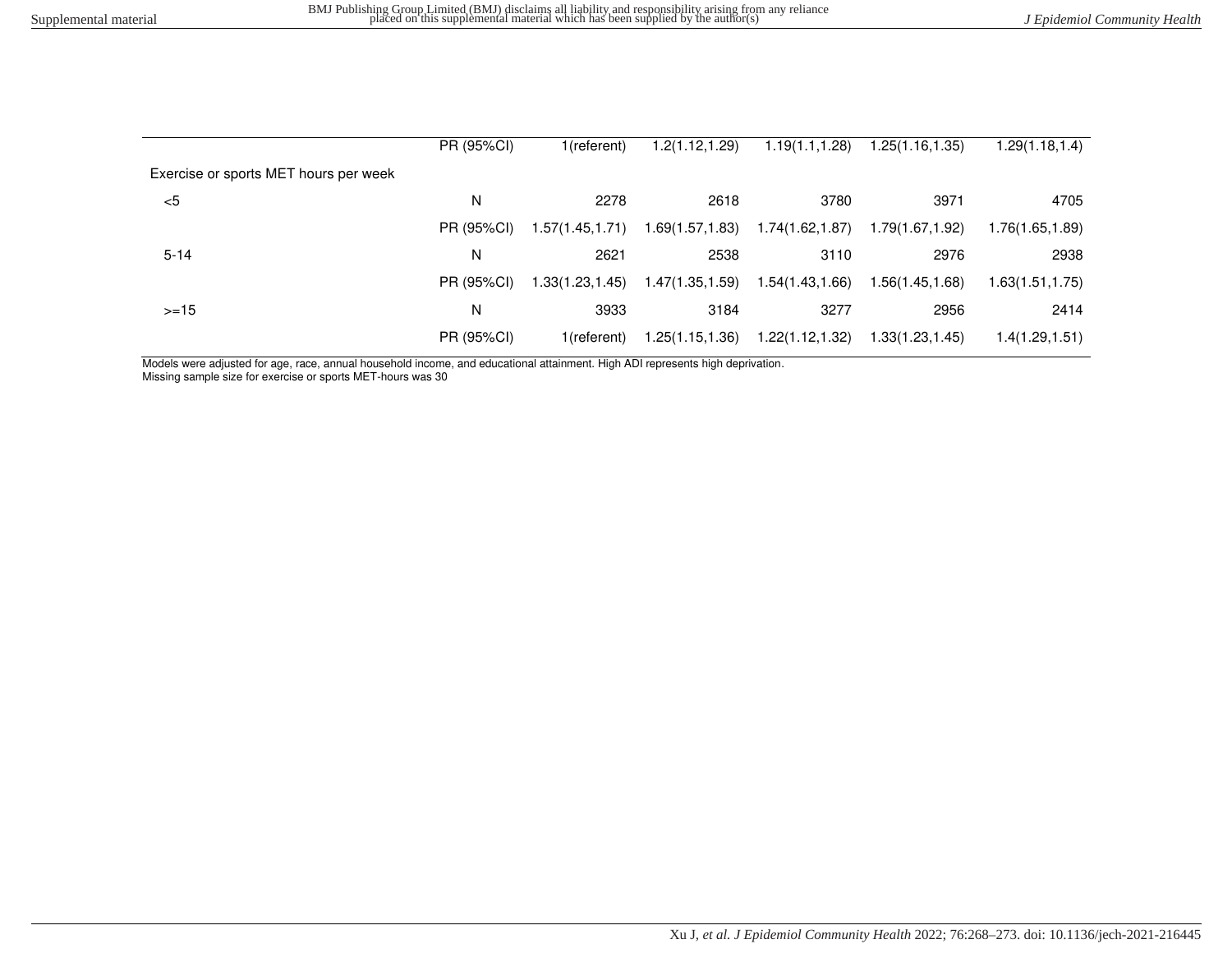|                                       | PR (95%CI) | 1(referent)      | .2(1.12,1.29)    | 1.19(1.1, 1.28)  | 1.25(1.16,1.35)  | 1.29(1.18, 1.4)  |
|---------------------------------------|------------|------------------|------------------|------------------|------------------|------------------|
| Exercise or sports MET hours per week |            |                  |                  |                  |                  |                  |
| $<$ 5                                 | N          | 2278             | 2618             | 3780             | 3971             | 4705             |
|                                       | PR (95%CI) | 1.57(1.45, 1.71) | 1.69(1.57, 1.83) | 1.74(1.62,1.87)  | 1.79(1.67,1.92)  | 1.76(1.65,1.89)  |
| $5 - 14$                              | N          | 2621             | 2538             | 3110             | 2976             | 2938             |
|                                       | PR (95%CI) | 1.33(1.23, 1.45) | 1.47(1.35, 1.59) | 1.54(1.43,1.66)  | 1.56(1.45, 1.68) | 1.63(1.51, 1.75) |
| $>=15$                                | N          | 3933             | 3184             | 3277             | 2956             | 2414             |
|                                       | PR (95%CI) | 1(referent)      | 1.25(1.15, 1.36) | 1.22(1.12, 1.32) | 1.33(1.23, 1.45) | 1.4(1.29, 1.51)  |

Models were adjusted for age, race, annual household income, and educational attainment. High ADI represents high deprivation.

Missing sample size for exercise or sports MET-hours was 30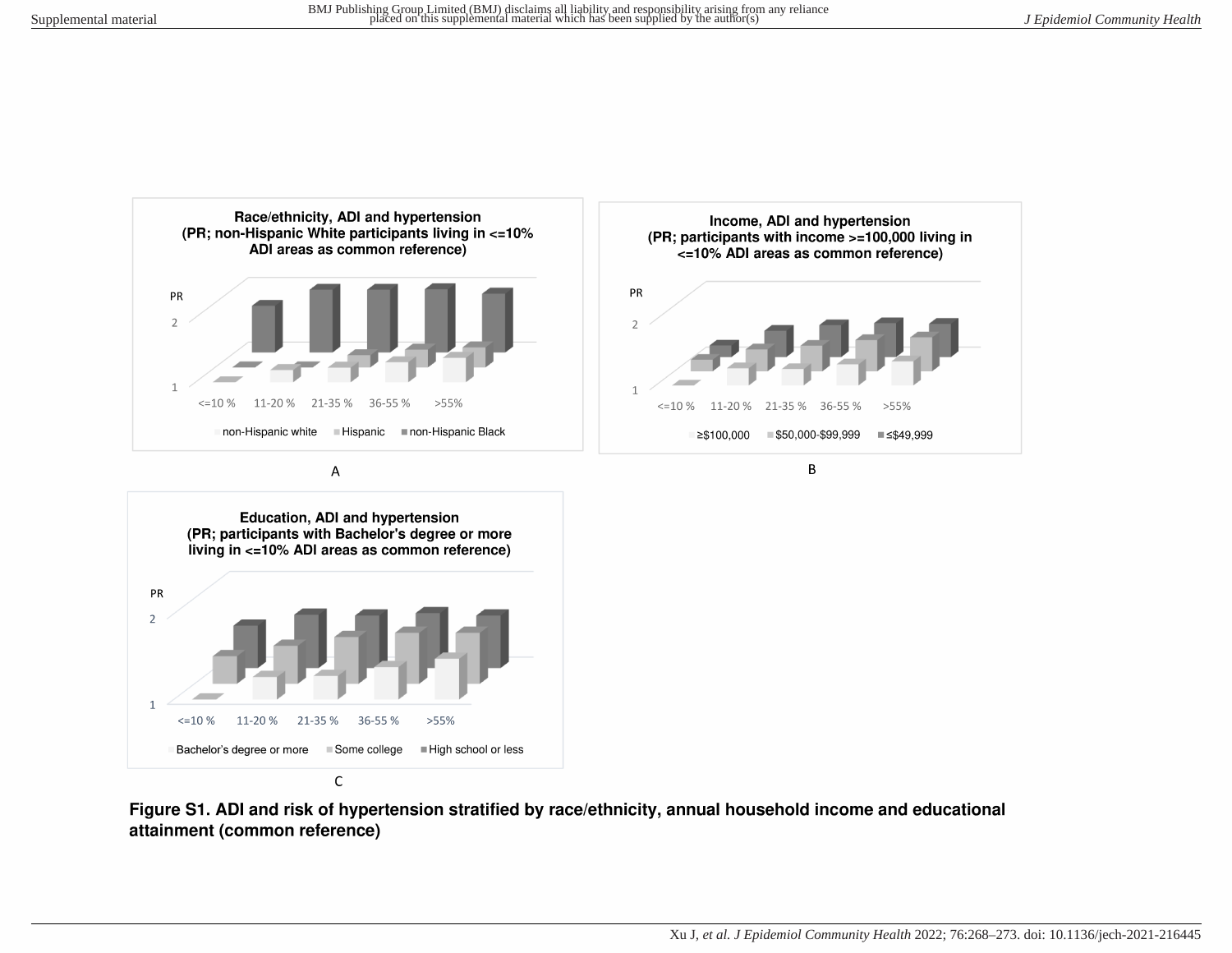

A



Figure S1. ADI and risk of hypertension stratified by race/ethnicity, annual household income and educational attainment (common reference)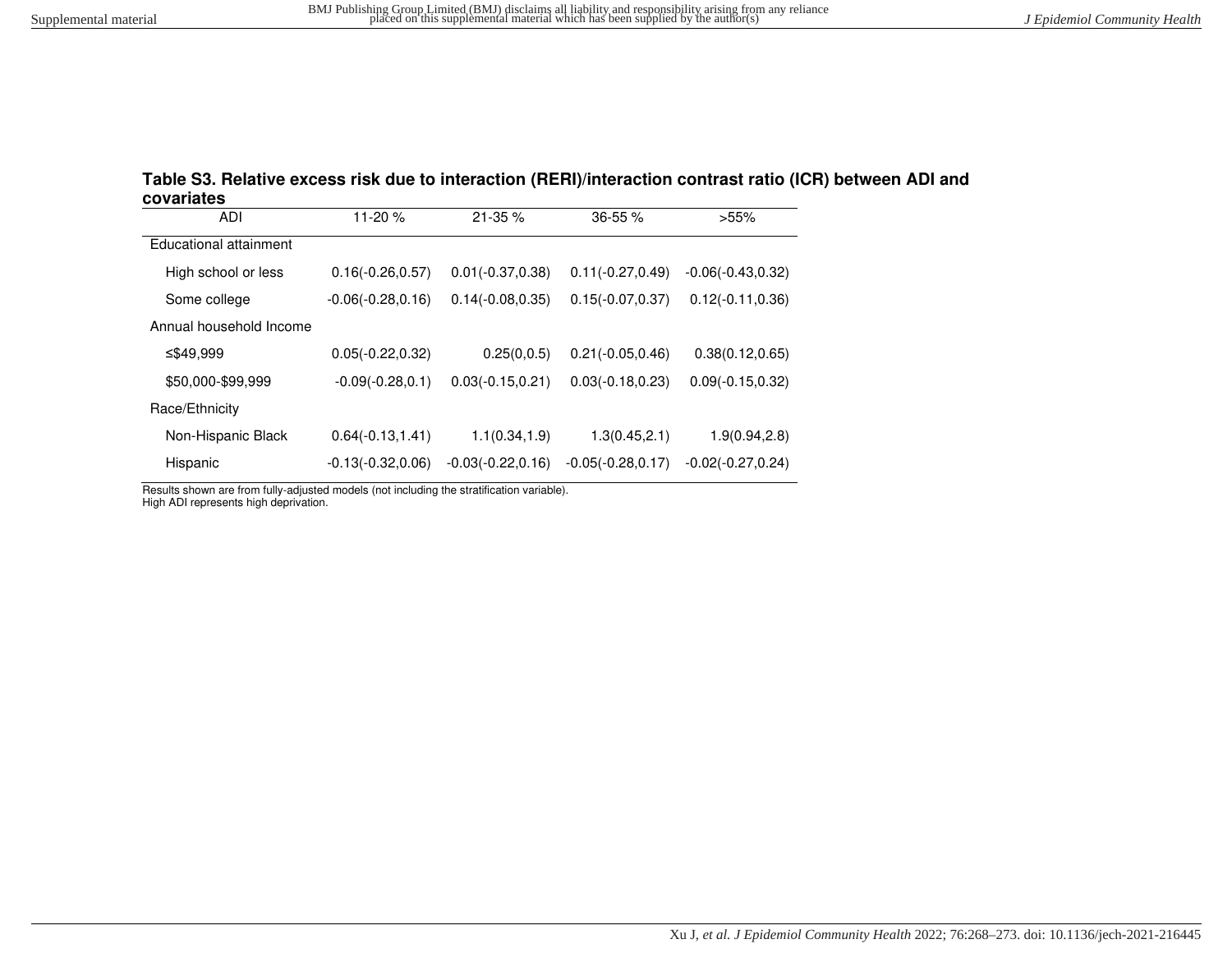| Table S3. Relative excess risk due to interaction (RERI)/interaction contrast ratio (ICR) between ADI and |  |
|-----------------------------------------------------------------------------------------------------------|--|
| covariates                                                                                                |  |

| ADI                     | 11-20 %              | $21 - 35%$           | 36-55 %              | >55%                 |
|-------------------------|----------------------|----------------------|----------------------|----------------------|
| Educational attainment  |                      |                      |                      |                      |
| High school or less     | $0.16(-0.26, 0.57)$  | $0.01(-0.37, 0.38)$  | $0.11(-0.27, 0.49)$  | $-0.06(-0.43, 0.32)$ |
| Some college            | $-0.06(-0.28, 0.16)$ | $0.14(-0.08, 0.35)$  | $0.15(-0.07, 0.37)$  | $0.12(-0.11, 0.36)$  |
| Annual household Income |                      |                      |                      |                      |
| ≤\$49,999               | $0.05(-0.22, 0.32)$  | 0.25(0,0.5)          | $0.21(-0.05, 0.46)$  | 0.38(0.12, 0.65)     |
| \$50,000-\$99,999       | $-0.09(-0.28, 0.1)$  | $0.03(-0.15, 0.21)$  | $0.03(-0.18, 0.23)$  | $0.09(-0.15, 0.32)$  |
| Race/Ethnicity          |                      |                      |                      |                      |
| Non-Hispanic Black      | $0.64(-0.13, 1.41)$  | 1.1(0.34, 1.9)       | 1.3(0.45, 2.1)       | 1.9(0.94, 2.8)       |
| Hispanic                | $-0.13(-0.32, 0.06)$ | $-0.03(-0.22, 0.16)$ | $-0.05(-0.28, 0.17)$ | $-0.02(-0.27, 0.24)$ |

Results shown are from fully-adjusted models (not including the stratification variable).

High ADI represents high deprivation.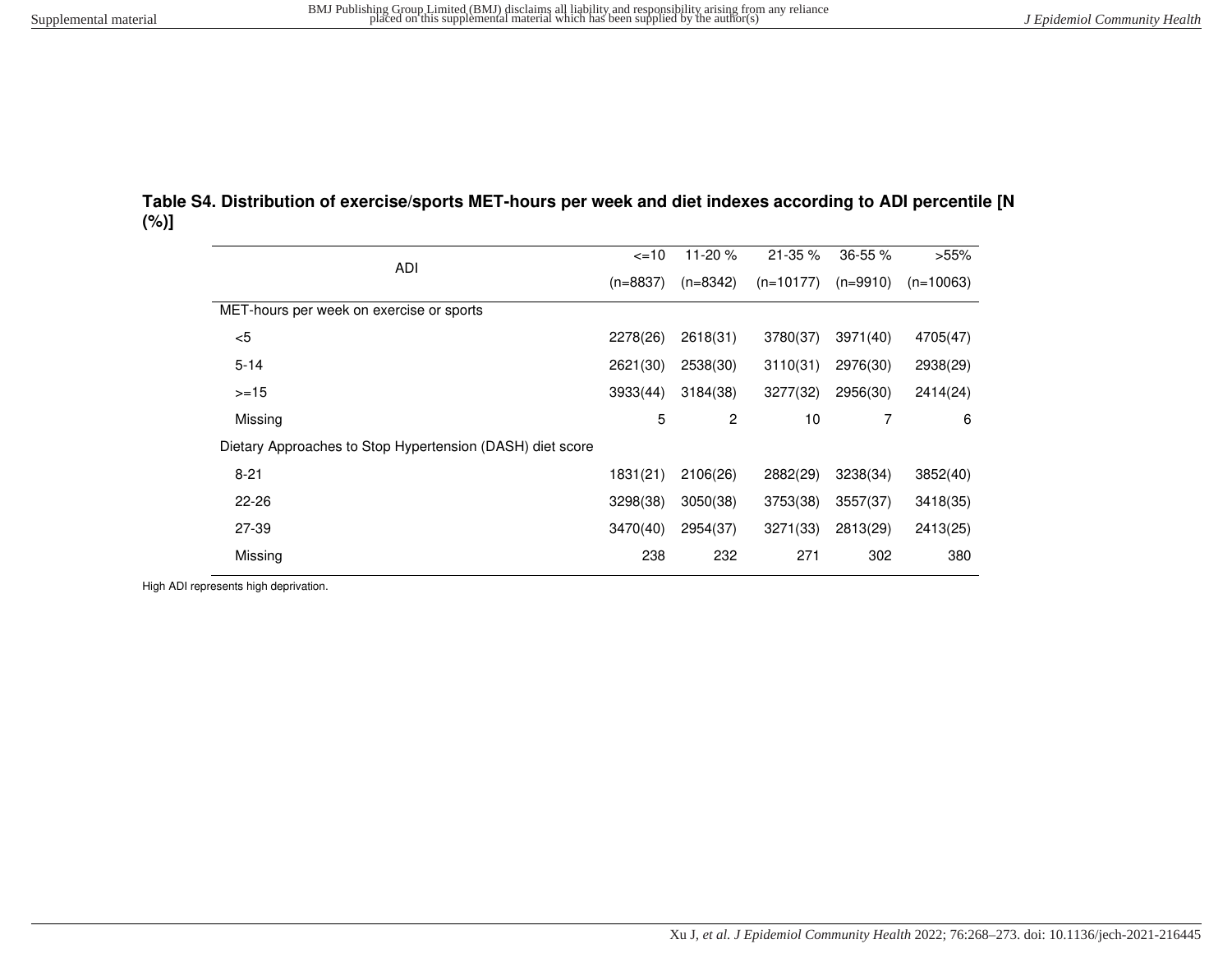| Table S4. Distribution of exercise/sports MET-hours per week and diet indexes according to ADI percentile [N] |  |
|---------------------------------------------------------------------------------------------------------------|--|
| $(\%)]$                                                                                                       |  |

| <b>ADI</b>                                                | $\leq$ 10  | 11-20 $%$      | $21 - 35 \%$ | $36 - 55 \%$ | >55%        |
|-----------------------------------------------------------|------------|----------------|--------------|--------------|-------------|
|                                                           | $(n=8837)$ | $(n=8342)$     | $(n=10177)$  | $(n=9910)$   | $(n=10063)$ |
| MET-hours per week on exercise or sports                  |            |                |              |              |             |
| $5$                                                       | 2278(26)   | 2618(31)       | 3780(37)     | 3971(40)     | 4705(47)    |
| $5 - 14$                                                  | 2621(30)   | 2538(30)       | 3110(31)     | 2976(30)     | 2938(29)    |
| $>=15$                                                    | 3933(44)   | 3184(38)       | 3277(32)     | 2956(30)     | 2414(24)    |
| Missing                                                   | 5          | $\overline{c}$ | 10           | 7            | 6           |
| Dietary Approaches to Stop Hypertension (DASH) diet score |            |                |              |              |             |
| $8 - 21$                                                  | 1831(21)   | 2106(26)       | 2882(29)     | 3238(34)     | 3852(40)    |
| $22 - 26$                                                 | 3298(38)   | 3050(38)       | 3753(38)     | 3557(37)     | 3418(35)    |
| 27-39                                                     | 3470(40)   | 2954(37)       | 3271(33)     | 2813(29)     | 2413(25)    |
| Missing                                                   | 238        | 232            | 271          | 302          | 380         |
|                                                           |            |                |              |              |             |

High ADI represents high deprivation.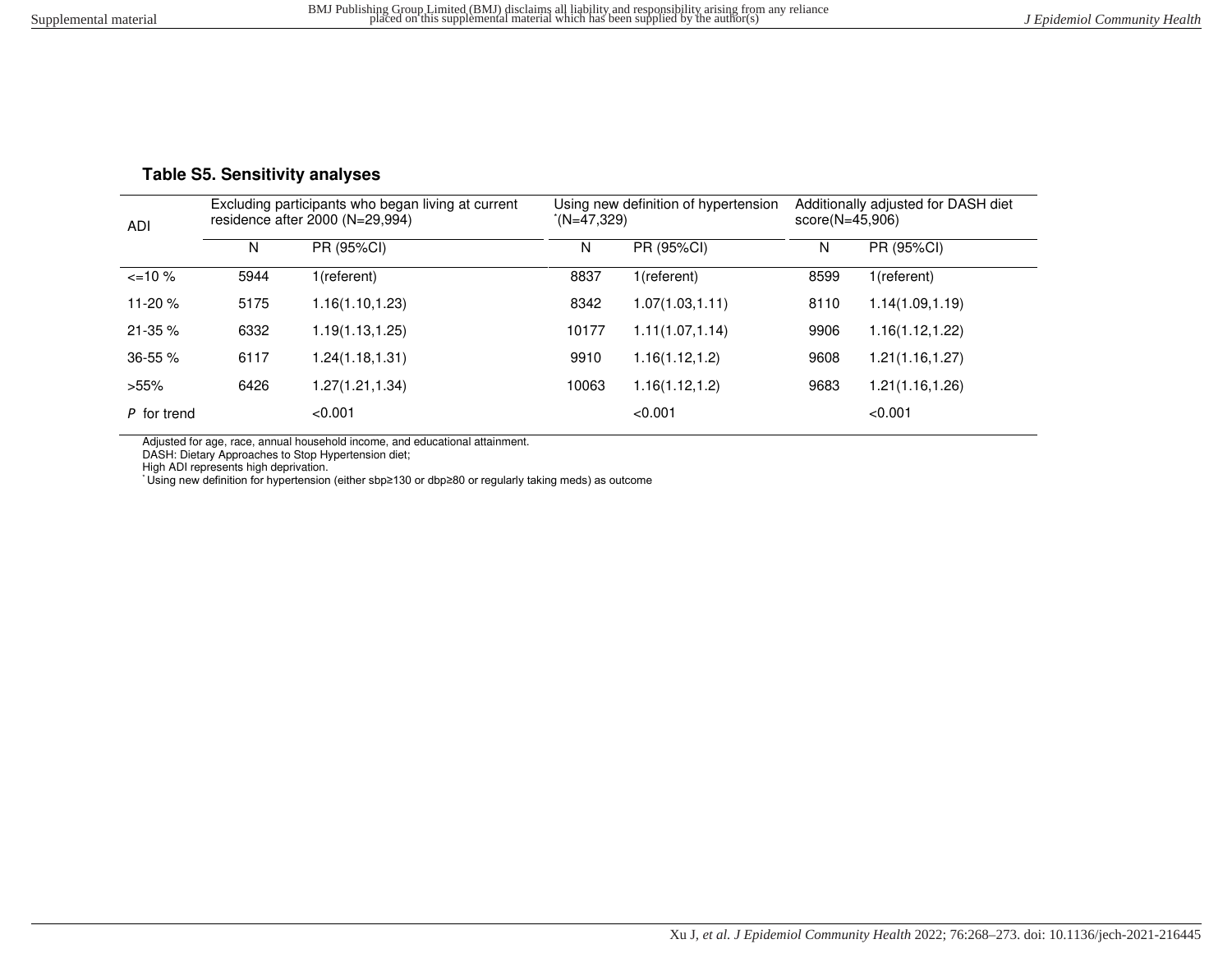## **Table S5. Sensitivity analyses**

| <b>ADI</b>   |      | Excluding participants who began living at current<br>residence after $2000$ (N= $29,994$ ) |       | Using new definition of hypertension<br>(N=47.329) | $score(N=45,906)$ | Additionally adjusted for DASH diet |
|--------------|------|---------------------------------------------------------------------------------------------|-------|----------------------------------------------------|-------------------|-------------------------------------|
|              | N    | PR (95%CI)                                                                                  | N     | PR (95%CI)                                         | N                 | PR (95%CI)                          |
| $\leq$ 10 %  | 5944 | 1(referent)                                                                                 | 8837  | 1(referent)                                        | 8599              | 1(referent)                         |
| 11-20 $%$    | 5175 | 1.16(1.10, 1.23)                                                                            | 8342  | 1.07(1.03, 1.11)                                   | 8110              | 1.14(1.09, 1.19)                    |
| 21-35 %      | 6332 | 1.19(1.13, 1.25)                                                                            | 10177 | 1.11(1.07, 1.14)                                   | 9906              | 1.16(1.12, 1.22)                    |
| $36 - 55 \%$ | 6117 | 1.24(1.18, 1.31)                                                                            | 9910  | 1.16(1.12, 1.2)                                    | 9608              | 1.21(1.16, 1.27)                    |
| $>55\%$      | 6426 | 1.27(1.21,1.34)                                                                             | 10063 | 1.16(1.12, 1.2)                                    | 9683              | 1.21(1.16,1.26)                     |
| P for trend  |      | < 0.001                                                                                     |       | < 0.001                                            |                   | < 0.001                             |

Adjusted for age, race, annual household income, and educational attainment.

DASH: Dietary Approaches to Stop Hypertension diet;

High ADI represents high deprivation.

\* Using new definition for hypertension (either sbp≥130 or dbp≥80 or regularly taking meds) as outcome